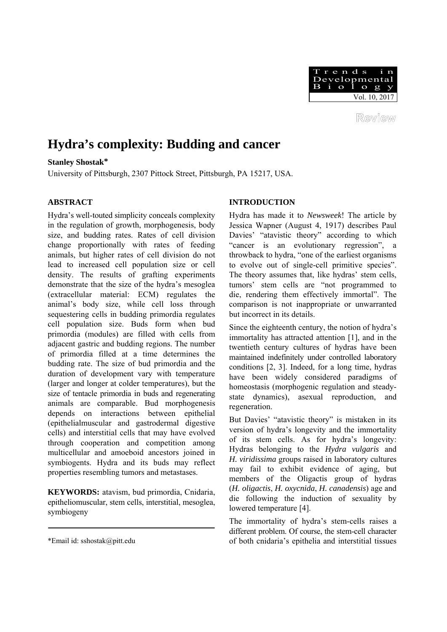

Review

# **Hydra's complexity: Budding and cancer**

**Stanley Shostak\***

University of Pittsburgh, 2307 Pittock Street, Pittsburgh, PA 15217, USA.

### **ABSTRACT**

Hydra's well-touted simplicity conceals complexity in the regulation of growth, morphogenesis, body size, and budding rates. Rates of cell division change proportionally with rates of feeding animals, but higher rates of cell division do not lead to increased cell population size or cell density. The results of grafting experiments demonstrate that the size of the hydra's mesoglea (extracellular material: ECM) regulates the animal's body size, while cell loss through sequestering cells in budding primordia regulates cell population size. Buds form when bud primordia (modules) are filled with cells from adjacent gastric and budding regions. The number of primordia filled at a time determines the budding rate. The size of bud primordia and the duration of development vary with temperature (larger and longer at colder temperatures), but the size of tentacle primordia in buds and regenerating animals are comparable. Bud morphogenesis depends on interactions between epithelial (epithelialmuscular and gastrodermal digestive cells) and interstitial cells that may have evolved through cooperation and competition among multicellular and amoeboid ancestors joined in symbiogents. Hydra and its buds may reflect properties resembling tumors and metastases.

**KEYWORDS:** atavism, bud primordia, Cnidaria, epitheliomuscular, stem cells, interstitial, mesoglea, symbiogeny

# **INTRODUCTION**

Hydra has made it to *Newsweek*! The article by Jessica Wapner (August 4, 1917) describes Paul Davies' "atavistic theory" according to which "cancer is an evolutionary regression", a throwback to hydra, "one of the earliest organisms to evolve out of single-cell primitive species". The theory assumes that, like hydras' stem cells, tumors' stem cells are "not programmed to die, rendering them effectively immortal". The comparison is not inappropriate or unwarranted but incorrect in its details.

Since the eighteenth century, the notion of hydra's immortality has attracted attention [1], and in the twentieth century cultures of hydras have been maintained indefinitely under controlled laboratory conditions [2, 3]. Indeed, for a long time, hydras have been widely considered paradigms of homeostasis (morphogenic regulation and steadystate dynamics), asexual reproduction, and regeneration.

But Davies' "atavistic theory" is mistaken in its version of hydra's longevity and the immortality of its stem cells. As for hydra's longevity: Hydras belonging to the *Hydra vulgaris* and *H. viridissima* groups raised in laboratory cultures may fail to exhibit evidence of aging, but members of the Oligactis group of hydras (*H. oligactis*, *H. oxycnida*, *H. canadensis*) age and die following the induction of sexuality by lowered temperature [4].

The immortality of hydra's stem-cells raises a different problem. Of course, the stem-cell character of both cnidaria's epithelia and interstitial tissues

<sup>\*</sup>Email id: sshostak@pitt.edu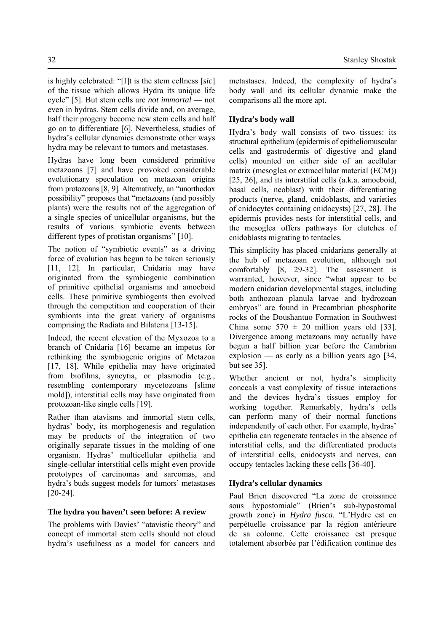is highly celebrated: "[I]t is the stem cellness [*sic*] of the tissue which allows Hydra its unique life cycle" [5]. But stem cells are *not immortal* — not even in hydras*.* Stem cells divide and, on average, half their progeny become new stem cells and half go on to differentiate [6]. Nevertheless, studies of hydra's cellular dynamics demonstrate other ways hydra may be relevant to tumors and metastases.

Hydras have long been considered primitive metazoans [7] and have provoked considerable evolutionary speculation on metazoan origins from protozoans [8, 9]. Alternatively, an "unorthodox possibility" proposes that "metazoans (and possibly plants) were the results not of the aggregation of a single species of unicellular organisms, but the results of various symbiotic events between different types of protistan organisms" [10].

The notion of "symbiotic events" as a driving force of evolution has begun to be taken seriously [11, 12]. In particular, Cnidaria may have originated from the symbiogenic combination of primitive epithelial organisms and amoeboid cells. These primitive symbiogents then evolved through the competition and cooperation of their symbionts into the great variety of organisms comprising the Radiata and Bilateria [13-15].

Indeed, the recent elevation of the Myxozoa to a branch of Cnidaria [16] became an impetus for rethinking the symbiogenic origins of Metazoa [17, 18]. While epithelia may have originated from biofilms, syncytia, or plasmodia (e.g., resembling contemporary mycetozoans [slime mold]), interstitial cells may have originated from protozoan-like single cells [19].

Rather than atavisms and immortal stem cells, hydras' body, its morphogenesis and regulation may be products of the integration of two originally separate tissues in the molding of one organism. Hydras' multicellular epithelia and single-cellular interstitial cells might even provide prototypes of carcinomas and sarcomas, and hydra's buds suggest models for tumors' metastases [20-24].

## **The hydra you haven't seen before: A review**

The problems with Davies' "atavistic theory" and concept of immortal stem cells should not cloud hydra's usefulness as a model for cancers and metastases. Indeed, the complexity of hydra's body wall and its cellular dynamic make the comparisons all the more apt.

## **Hydra's body wall**

Hydra's body wall consists of two tissues: its structural epithelium (epidermis of epitheliomuscular cells and gastrodermis of digestive and gland cells) mounted on either side of an acellular matrix (mesoglea or extracellular material (ECM)) [25, 26], and its interstitial cells (a.k.a. amoeboid, basal cells, neoblast) with their differentiating products (nerve, gland, cnidoblasts, and varieties of cnidocytes containing cnidocysts) [27, 28]. The epidermis provides nests for interstitial cells, and the mesoglea offers pathways for clutches of cnidoblasts migrating to tentacles.

This simplicity has placed cnidarians generally at the hub of metazoan evolution, although not comfortably [8, 29-32]. The assessment is warranted, however, since "what appear to be modern cnidarian developmental stages, including both anthozoan planula larvae and hydrozoan embryos" are found in Precambrian phosphorite rocks of the Doushantuo Formation in Southwest China some  $570 \pm 20$  million years old [33]. Divergence among metazoans may actually have begun a half billion year before the Cambrian explosion — as early as a billion years ago [34, but see 35].

Whether ancient or not, hydra's simplicity conceals a vast complexity of tissue interactions and the devices hydra's tissues employ for working together. Remarkably, hydra's cells can perform many of their normal functions independently of each other. For example, hydras' epithelia can regenerate tentacles in the absence of interstitial cells, and the differentiated products of interstitial cells, cnidocysts and nerves, can occupy tentacles lacking these cells [36-40].

## **Hydra's cellular dynamics**

Paul Brien discovered "La zone de croissance sous hypostomiale" (Brien's sub-hypostomal growth zone) in *Hydra fusca*. "L'Hydre est en perpétuelle croissance par la région antérieure de sa colonne. Cette croissance est presque totalement absorbée par l'édification continue des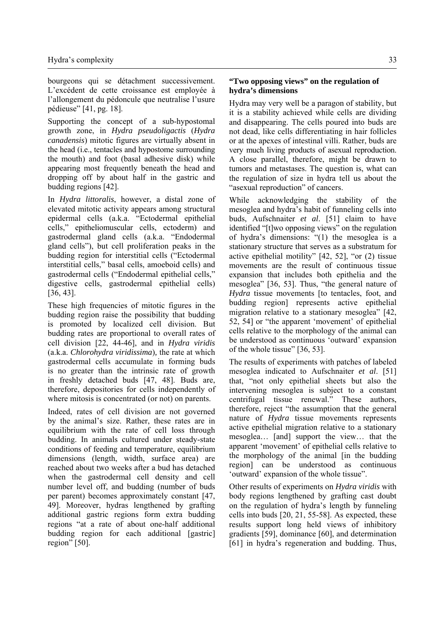bourgeons qui se détachment successivement. L'excédent de cette croissance est employée à l'allongement du pédoncule que neutralise l'usure pédieuse" [41, pg. 18].

Supporting the concept of a sub-hypostomal growth zone, in *Hydra pseudoligactis* (*Hydra canadensis*) mitotic figures are virtually absent in the head (i.e., tentacles and hypostome surrounding the mouth) and foot (basal adhesive disk) while appearing most frequently beneath the head and dropping off by about half in the gastric and budding regions [42].

In *Hydra littoralis*, however, a distal zone of elevated mitotic activity appears among structural epidermal cells (a.k.a. "Ectodermal epithelial cells," epitheliomuscular cells, ectoderm) and gastrodermal gland cells (a.k.a. "Endodermal gland cells"), but cell proliferation peaks in the budding region for interstitial cells ("Ectodermal interstitial cells," basal cells, amoeboid cells) and gastrodermal cells ("Endodermal epithelial cells," digestive cells, gastrodermal epithelial cells) [36, 43].

These high frequencies of mitotic figures in the budding region raise the possibility that budding is promoted by localized cell division. But budding rates are proportional to overall rates of cell division [22, 44-46], and in *Hydra viridis*  (a.k.a. *Chlorohydra viridissima*)*,* the rate at which gastrodermal cells accumulate in forming buds is no greater than the intrinsic rate of growth in freshly detached buds [47, 48]. Buds are, therefore, depositories for cells independently of where mitosis is concentrated (or not) on parents.

Indeed, rates of cell division are not governed by the animal's size. Rather, these rates are in equilibrium with the rate of cell loss through budding. In animals cultured under steady-state conditions of feeding and temperature, equilibrium dimensions (length, width, surface area) are reached about two weeks after a bud has detached when the gastrodermal cell density and cell number level off, and budding (number of buds per parent) becomes approximately constant [47, 49]. Moreover, hydras lengthened by grafting additional gastric regions form extra budding regions "at a rate of about one-half additional budding region for each additional [gastric] region" [50].

#### **"Two opposing views" on the regulation of hydra's dimensions**

Hydra may very well be a paragon of stability, but it is a stability achieved while cells are dividing and disappearing. The cells poured into buds are not dead, like cells differentiating in hair follicles or at the apexes of intestinal villi. Rather, buds are very much living products of asexual reproduction. A close parallel, therefore, might be drawn to tumors and metastases. The question is, what can the regulation of size in hydra tell us about the "asexual reproduction" of cancers.

While acknowledging the stability of the mesoglea and hydra's habit of funneling cells into buds, Aufschnaiter *et al*. [51] claim to have identified "[t]wo opposing views" on the regulation of hydra's dimensions: "(1) the mesoglea is a stationary structure that serves as a substratum for active epithelial motility" [42, 52], "or (2) tissue movements are the result of continuous tissue expansion that includes both epithelia and the mesoglea" [36, 53]. Thus, "the general nature of *Hydra* tissue movements [to tentacles, foot, and budding region] represents active epithelial migration relative to a stationary mesoglea" [42, 52, 54] or "the apparent 'movement' of epithelial cells relative to the morphology of the animal can be understood as continuous 'outward' expansion of the whole tissue" [36, 53].

The results of experiments with patches of labeled mesoglea indicated to Aufschnaiter *et al*. [51] that, "not only epithelial sheets but also the intervening mesoglea is subject to a constant centrifugal tissue renewal." These authors, therefore, reject "the assumption that the general nature of *Hydra* tissue movements represents active epithelial migration relative to a stationary mesoglea… [and] support the view… that the apparent 'movement' of epithelial cells relative to the morphology of the animal [in the budding region] can be understood as continuous 'outward' expansion of the whole tissue".

Other results of experiments on *Hydra viridis* with body regions lengthened by grafting cast doubt on the regulation of hydra's length by funneling cells into buds [20, 21, 55-58]. As expected, these results support long held views of inhibitory gradients [59], dominance [60], and determination [61] in hydra's regeneration and budding. Thus,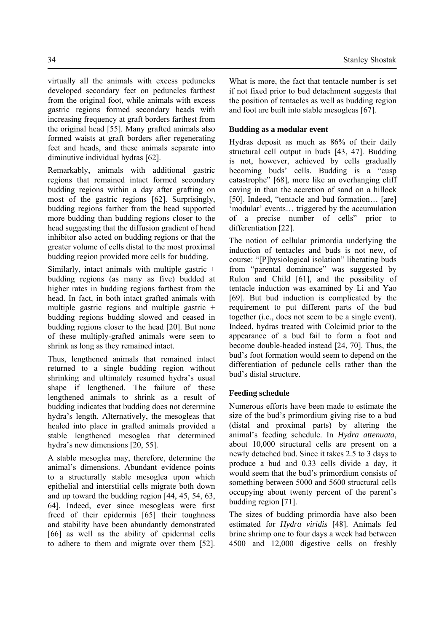virtually all the animals with excess peduncles developed secondary feet on peduncles farthest from the original foot, while animals with excess gastric regions formed secondary heads with increasing frequency at graft borders farthest from the original head [55]. Many grafted animals also formed waists at graft borders after regenerating feet and heads, and these animals separate into diminutive individual hydras [62].

Remarkably, animals with additional gastric regions that remained intact formed secondary budding regions within a day after grafting on most of the gastric regions [62]. Surprisingly, budding regions farther from the head supported more budding than budding regions closer to the head suggesting that the diffusion gradient of head inhibitor also acted on budding regions or that the greater volume of cells distal to the most proximal budding region provided more cells for budding.

Similarly, intact animals with multiple gastric + budding regions (as many as five) budded at higher rates in budding regions farthest from the head. In fact, in both intact grafted animals with multiple gastric regions and multiple gastric + budding regions budding slowed and ceased in budding regions closer to the head [20]. But none of these multiply-grafted animals were seen to shrink as long as they remained intact.

Thus, lengthened animals that remained intact returned to a single budding region without shrinking and ultimately resumed hydra's usual shape if lengthened. The failure of these lengthened animals to shrink as a result of budding indicates that budding does not determine hydra's length. Alternatively, the mesogleas that healed into place in grafted animals provided a stable lengthened mesoglea that determined hydra's new dimensions [20, 55].

A stable mesoglea may, therefore, determine the animal's dimensions. Abundant evidence points to a structurally stable mesoglea upon which epithelial and interstitial cells migrate both down and up toward the budding region [44, 45, 54, 63, 64]. Indeed, ever since mesogleas were first freed of their epidermis [65] their toughness and stability have been abundantly demonstrated [66] as well as the ability of epidermal cells to adhere to them and migrate over them [52].

What is more, the fact that tentacle number is set if not fixed prior to bud detachment suggests that the position of tentacles as well as budding region and foot are built into stable mesogleas [67].

## **Budding as a modular event**

Hydras deposit as much as 86% of their daily structural cell output in buds [43, 47]. Budding is not, however, achieved by cells gradually becoming buds' cells. Budding is a "cusp catastrophe" [68], more like an overhanging cliff caving in than the accretion of sand on a hillock [50]. Indeed, "tentacle and bud formation... [are] 'modular' events… triggered by the accumulation of a precise number of cells" prior to differentiation [22].

The notion of cellular primordia underlying the induction of tentacles and buds is not new, of course: "[P]hysiological isolation" liberating buds from "parental dominance" was suggested by Rulon and Child [61], and the possibility of tentacle induction was examined by Li and Yao [69]. But bud induction is complicated by the requirement to put different parts of the bud together (i.e., does not seem to be a single event). Indeed, hydras treated with Colcimid prior to the appearance of a bud fail to form a foot and become double-headed instead [24, 70]. Thus, the bud's foot formation would seem to depend on the differentiation of peduncle cells rather than the bud's distal structure.

#### **Feeding schedule**

Numerous efforts have been made to estimate the size of the bud's primordium giving rise to a bud (distal and proximal parts) by altering the animal's feeding schedule. In *Hydra attenuata*, about 10,000 structural cells are present on a newly detached bud. Since it takes 2.5 to 3 days to produce a bud and 0.33 cells divide a day, it would seem that the bud's primordium consists of something between 5000 and 5600 structural cells occupying about twenty percent of the parent's budding region [71].

The sizes of budding primordia have also been estimated for *Hydra viridis* [48]. Animals fed brine shrimp one to four days a week had between 4500 and 12,000 digestive cells on freshly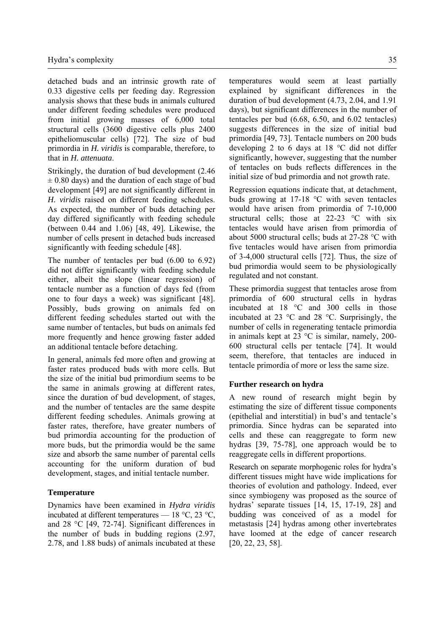detached buds and an intrinsic growth rate of 0.33 digestive cells per feeding day. Regression analysis shows that these buds in animals cultured under different feeding schedules were produced from initial growing masses of 6,000 total structural cells (3600 digestive cells plus 2400 epitheliomuscular cells) [72]. The size of bud primordia in *H. viridis* is comparable, therefore, to that in *H. attenuata*.

Strikingly, the duration of bud development (2.46  $\pm$  0.80 days) and the duration of each stage of bud development [49] are not significantly different in *H. viridis* raised on different feeding schedules. As expected, the number of buds detaching per day differed significantly with feeding schedule (between 0.44 and 1.06) [48, 49]. Likewise, the number of cells present in detached buds increased significantly with feeding schedule [48].

The number of tentacles per bud (6.00 to 6.92) did not differ significantly with feeding schedule either, albeit the slope (linear regression) of tentacle number as a function of days fed (from one to four days a week) was significant [48]. Possibly, buds growing on animals fed on different feeding schedules started out with the same number of tentacles, but buds on animals fed more frequently and hence growing faster added an additional tentacle before detaching.

In general, animals fed more often and growing at faster rates produced buds with more cells. But the size of the initial bud primordium seems to be the same in animals growing at different rates, since the duration of bud development, of stages, and the number of tentacles are the same despite different feeding schedules. Animals growing at faster rates, therefore, have greater numbers of bud primordia accounting for the production of more buds, but the primordia would be the same size and absorb the same number of parental cells accounting for the uniform duration of bud development, stages, and initial tentacle number.

#### **Temperature**

Dynamics have been examined in *Hydra viridis*  incubated at different temperatures — 18 °C, 23 °C, and 28 °C [49, 72-74]. Significant differences in the number of buds in budding regions (2.97, 2.78, and 1.88 buds) of animals incubated at these temperatures would seem at least partially explained by significant differences in the duration of bud development (4.73, 2.04, and 1.91 days), but significant differences in the number of tentacles per bud (6.68, 6.50, and 6.02 tentacles) suggests differences in the size of initial bud primordia [49, 73]. Tentacle numbers on 200 buds developing 2 to 6 days at 18 °C did not differ significantly, however, suggesting that the number of tentacles on buds reflects differences in the initial size of bud primordia and not growth rate.

Regression equations indicate that, at detachment, buds growing at 17-18 °C with seven tentacles would have arisen from primordia of 7-10,000 structural cells; those at 22-23 °C with six tentacles would have arisen from primordia of about 5000 structural cells; buds at 27-28 °C with five tentacles would have arisen from primordia of 3-4,000 structural cells [72]. Thus, the size of bud primordia would seem to be physiologically regulated and not constant.

These primordia suggest that tentacles arose from primordia of 600 structural cells in hydras incubated at 18 °C and 300 cells in those incubated at 23 °C and 28 °C. Surprisingly, the number of cells in regenerating tentacle primordia in animals kept at 23 °C is similar, namely, 200- 600 structural cells per tentacle [74]. It would seem, therefore, that tentacles are induced in tentacle primordia of more or less the same size.

#### **Further research on hydra**

A new round of research might begin by estimating the size of different tissue components (epithelial and interstitial) in bud's and tentacle's primordia. Since hydras can be separated into cells and these can reaggregate to form new hydras [39, 75-78], one approach would be to reaggregate cells in different proportions.

Research on separate morphogenic roles for hydra's different tissues might have wide implications for theories of evolution and pathology. Indeed, ever since symbiogeny was proposed as the source of hydras' separate tissues [14, 15, 17-19, 28] and budding was conceived of as a model for metastasis [24] hydras among other invertebrates have loomed at the edge of cancer research [20, 22, 23, 58].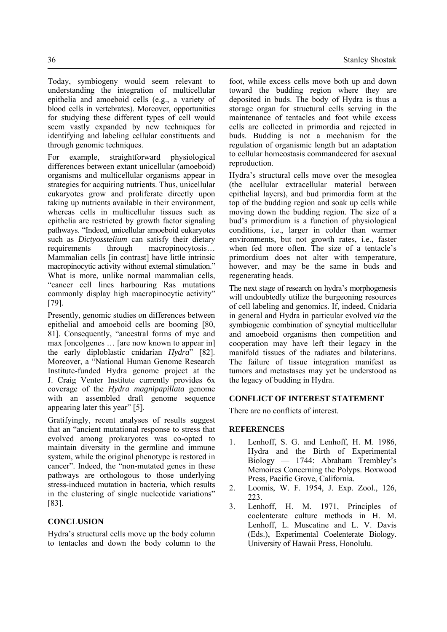Today, symbiogeny would seem relevant to understanding the integration of multicellular epithelia and amoeboid cells (e.g., a variety of blood cells in vertebrates). Moreover, opportunities for studying these different types of cell would seem vastly expanded by new techniques for identifying and labeling cellular constituents and through genomic techniques.

For example, straightforward physiological differences between extant unicellular (amoeboid) organisms and multicellular organisms appear in strategies for acquiring nutrients. Thus, unicellular eukaryotes grow and proliferate directly upon taking up nutrients available in their environment, whereas cells in multicellular tissues such as epithelia are restricted by growth factor signaling pathways. "Indeed, unicellular amoeboid eukaryotes such as *Dictyosstelium* can satisfy their dietary requirements through macropinocytosis… Mammalian cells [in contrast] have little intrinsic macropinocytic activity without external stimulation." What is more, unlike normal mammalian cells, "cancer cell lines harbouring Ras mutations commonly display high macropinocytic activity" [79].

Presently, genomic studies on differences between epithelial and amoeboid cells are booming [80, 81]. Consequently, "ancestral forms of myc and max [onco]genes ... [are now known to appear in] the early diploblastic cnidarian *Hydra*" [82]. Moreover, a "National Human Genome Research Institute-funded Hydra genome project at the J. Craig Venter Institute currently provides 6x coverage of the *Hydra magnipapillata* genome with an assembled draft genome sequence appearing later this year" [5].

Gratifyingly, recent analyses of results suggest that an "ancient mutational response to stress that evolved among prokaryotes was co-opted to maintain diversity in the germline and immune system, while the original phenotype is restored in cancer". Indeed, the "non-mutated genes in these pathways are orthologous to those underlying stress-induced mutation in bacteria, which results in the clustering of single nucleotide variations" [83].

### **CONCLUSION**

Hydra's structural cells move up the body column to tentacles and down the body column to the foot, while excess cells move both up and down toward the budding region where they are deposited in buds. The body of Hydra is thus a storage organ for structural cells serving in the maintenance of tentacles and foot while excess cells are collected in primordia and rejected in buds. Budding is not a mechanism for the regulation of organismic length but an adaptation to cellular homeostasis commandeered for asexual reproduction.

Hydra's structural cells move over the mesoglea (the acellular extracellular material between epithelial layers), and bud primordia form at the top of the budding region and soak up cells while moving down the budding region. The size of a bud's primordium is a function of physiological conditions, i.e., larger in colder than warmer environments, but not growth rates, i.e., faster when fed more often. The size of a tentacle's primordium does not alter with temperature, however, and may be the same in buds and regenerating heads.

The next stage of research on hydra's morphogenesis will undoubtedly utilize the burgeoning resources of cell labeling and genomics. If, indeed, Cnidaria in general and Hydra in particular evolved *via* the symbiogenic combination of syncytial multicellular and amoeboid organisms then competition and cooperation may have left their legacy in the manifold tissues of the radiates and bilaterians. The failure of tissue integration manifest as tumors and metastases may yet be understood as the legacy of budding in Hydra.

#### **CONFLICT OF INTEREST STATEMENT**

There are no conflicts of interest.

#### **REFERENCES**

- 1. Lenhoff, S. G. and Lenhoff, H. M. 1986, Hydra and the Birth of Experimental Biology — 1744: Abraham Trembley's Memoires Concerning the Polyps. Boxwood Press, Pacific Grove, California.
- 2. Loomis, W. F. 1954, J. Exp. Zool., 126, 223.
- 3. Lenhoff, H. M. 1971, Principles of coelenterate culture methods in H. M. Lenhoff, L. Muscatine and L. V. Davis (Eds.), Experimental Coelenterate Biology. University of Hawaii Press, Honolulu.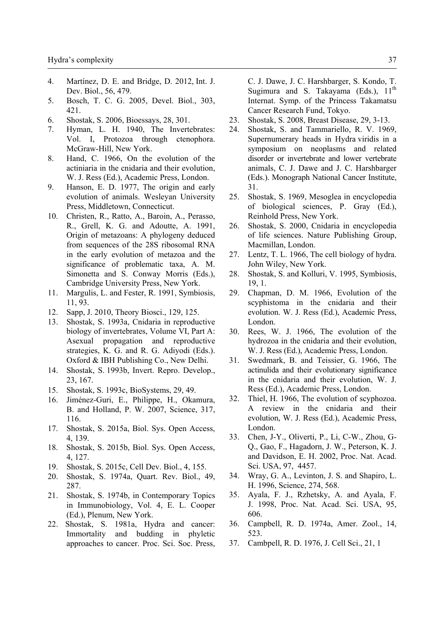- 4. Martínez, D. E. and Bridge, D. 2012, Int. J. Dev. Biol., 56, 479.
- 5. Bosch, T. C. G. 2005, Devel. Biol., 303, 421.
- 6. Shostak, S. 2006, Bioessays, 28, 301.
- 7. Hyman, L. H. 1940, The Invertebrates: Vol. I, Protozoa through ctenophora. McGraw-Hill, New York.
- 8. Hand, C. 1966, On the evolution of the actiniaria in the cnidaria and their evolution, W. J. Ress (Ed.), Academic Press, London.
- 9. Hanson, E. D. 1977, The origin and early evolution of animals. Wesleyan University Press, Middletown, Connecticut.
- 10. Christen, R., Ratto, A., Baroin, A., Perasso, R., Grell, K. G. and Adoutte, A. 1991, Origin of metazoans: A phylogeny deduced from sequences of the 28S ribosomal RNA in the early evolution of metazoa and the significance of problematic taxa, A. M. Simonetta and S. Conway Morris (Eds.), Cambridge University Press, New York.
- 11. Margulis, L. and Fester, R. 1991, Symbiosis, 11, 93.
- 12. Sapp, J. 2010, Theory Biosci., 129, 125.
- 13. Shostak, S. 1993a, Cnidaria in reproductive biology of invertebrates, Volume VI, Part A: Asexual propagation and reproductive strategies, K. G. and R. G. Adiyodi (Eds.). Oxford & IBH Publishing Co., New Delhi.
- 14. Shostak, S. 1993b, Invert. Repro. Develop., 23, 167.
- 15. Shostak, S. 1993c, BioSystems, 29, 49.
- 16. Jiménez-Guri, E., Philippe, H., Okamura, B. and Holland, P. W. 2007, Science, 317, 116.
- 17. Shostak, S. 2015a, Biol. Sys. Open Access, 4, 139.
- 18. Shostak, S. 2015b, Biol. Sys. Open Access, 4, 127.
- 19. Shostak, S. 2015c, Cell Dev. Biol., 4, 155.
- 20. Shostak, S. 1974a, Quart. Rev. Biol., 49, 287.
- 21. Shostak, S. 1974b, in Contemporary Topics in Immunobiology, Vol. 4, E. L. Cooper (Ed.), Plenum, New York.
- 22. Shostak, S. 1981a, Hydra and cancer: Immortality and budding in phyletic approaches to cancer. Proc. Sci. Soc. Press,

C. J. Dawe, J. C. Harshbarger, S. Kondo, T. Sugimura and S. Takayama (Eds.),  $11<sup>th</sup>$ Internat. Symp. of the Princess Takamatsu Cancer Research Fund, Tokyo.

- 23. Shostak, S. 2008, Breast Disease, 29, 3-13.
- 24. Shostak, S. and Tammariello, R. V. 1969, Supernumerary heads in Hydra viridis in a symposium on neoplasms and related disorder or invertebrate and lower vertebrate animals, C. J. Dawe and J. C. Harshbarger (Eds.). Monograph National Cancer Institute, 31.
- 25. Shostak, S. 1969, Mesoglea in encyclopedia of biological sciences, P. Gray (Ed.), Reinhold Press, New York.
- 26. Shostak, S. 2000, Cnidaria in encyclopedia of life sciences. Nature Publishing Group, Macmillan, London.
- 27. Lentz, T. L. 1966, The cell biology of hydra. John Wiley, New York.
- 28. Shostak, S. and Kolluri, V. 1995, Symbiosis, 19, 1.
- 29. Chapman, D. M. 1966, Evolution of the scyphistoma in the cnidaria and their evolution. W. J. Ress (Ed.), Academic Press, London.
- 30. Rees, W. J. 1966, The evolution of the hydrozoa in the cnidaria and their evolution, W. J. Ress (Ed.), Academic Press, London.
- 31. Swedmark, B. and Teissier, G. 1966, The actinulida and their evolutionary significance in the cnidaria and their evolution, W. J. Ress (Ed.), Academic Press, London.
- 32. Thiel, H. 1966, The evolution of scyphozoa. A review in the cnidaria and their evolution, W. J. Ress (Ed.), Academic Press, London.
- 33. Chen, J-Y., Oliverti, P., Li, C-W., Zhou, G-Q., Gao, F., Hagadorn, J. W., Peterson, K. J. and Davidson, E. H. 2002, Proc. Nat. Acad. Sci. USA, 97, 4457.
- 34. Wray, G. A., Levinton, J. S. and Shapiro, L. H. 1996, Science, 274, 568.
- 35. Ayala, F. J., Rzhetsky, A. and Ayala, F. J. 1998, Proc. Nat. Acad. Sci. USA, 95, 606.
- 36. Campbell, R. D. 1974a, Amer. Zool., 14, 523.
- 37. Cambpell, R. D. 1976, J. Cell Sci., 21, 1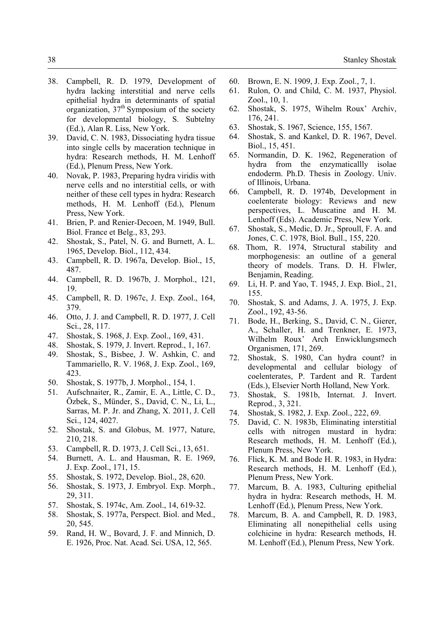- 38. Campbell, R. D. 1979, Development of hydra lacking interstitial and nerve cells epithelial hydra in determinants of spatial organization, 37<sup>th</sup> Symposium of the society for developmental biology, S. Subtelny (Ed.), Alan R. Liss, New York.
- 39. David, C. N. 1983, Dissociating hydra tissue into single cells by maceration technique in hydra: Research methods, H. M. Lenhoff (Ed.), Plenum Press, New York.
- 40. Novak, P. 1983, Preparing hydra viridis with nerve cells and no interstitial cells, or with neither of these cell types in hydra: Research methods, H. M. Lenhoff (Ed.), Plenum Press, New York.
- 41. Brien, P. and Renier-Decoen, M. 1949, Bull. Biol. France et Belg., 83, 293.
- 42. Shostak, S., Patel, N. G. and Burnett, A. L. 1965, Develop. Biol., 112, 434.
- 43. Campbell, R. D. 1967a, Develop. Biol., 15, 487.
- 44. Campbell, R. D. 1967b, J. Morphol., 121, 19.
- 45. Campbell, R. D. 1967c, J. Exp. Zool., 164, 379.
- 46. Otto, J. J. and Campbell, R. D. 1977, J. Cell Sci., 28, 117.
- 47. Shostak, S. 1968, J. Exp. Zool., 169, 431.
- 48. Shostak, S. 1979, J. Invert. Reprod., 1, 167.
- 49. Shostak, S., Bisbee, J. W. Ashkin, C. and Tammariello, R. V. 1968, J. Exp. Zool., 169, 423.
- 50. Shostak, S. 1977b, J. Morphol., 154, 1.
- 51. Aufschnaiter, R., Zamir, E. A., Little, C. D., Özbek, S., Münder, S., David, C. N., Li, L., Sarras, M. P. Jr. and Zhang, X. 2011, J. Cell Sci., 124, 4027.
- 52. Shostak, S. and Globus, M. 1977, Nature, 210, 218.
- 53. Campbell, R. D. 1973, J. Cell Sci., 13, 651.
- 54. Burnett, A. L. and Hausman, R. E. 1969, J. Exp. Zool., 171, 15.
- 55. Shostak, S. 1972, Develop. Biol., 28, 620.
- 56. Shostak, S. 1973, J. Embryol. Exp. Morph., 29, 311.
- 57. Shostak, S. 1974c, Am. Zool., 14, 619-32.
- 58. Shostak, S. 1977a, Perspect. Biol. and Med., 20, 545.
- 59. Rand, H. W., Bovard, J. F. and Minnich, D. E. 1926, Proc. Nat. Acad. Sci. USA, 12, 565.
- 60. Brown, E. N. 1909, J. Exp. Zool., 7, 1.
- 61. Rulon, O. and Child, C. M. 1937, Physiol. Zool., 10, 1.
- 62. Shostak, S. 1975, Wihelm Roux' Archiv, 176, 241.
- 63. Shostak, S. 1967, Science, 155, 1567.
- 64. Shostak, S. and Kankel, D. R. 1967, Devel. Biol., 15, 451.
- 65. Normandin, D. K. 1962, Regeneration of hydra from the enzymaticallly isolae endoderm. Ph.D. Thesis in Zoology. Univ. of Illinois, Urbana.
- 66. Campbell, R. D. 1974b, Development in coelenterate biology: Reviews and new perspectives, L. Muscatine and H. M. Lenhoff (Eds). Academic Press, New York.
- 67. Shostak, S., Medic, D. Jr., Sproull, F. A. and Jones, C. C. 1978, Biol. Bull., 155, 220.
- 68. Thom, R. 1974, Structural stability and morphogenesis: an outline of a general theory of models. Trans. D. H. Flwler, Benjamin, Reading.
- 69. Li, H. P. and Yao, T. 1945, J. Exp. Biol., 21, 155.
- 70. Shostak, S. and Adams, J. A. 1975, J. Exp. Zool., 192, 43-56.
- 71. Bode, H., Berking, S., David, C. N., Gierer, A., Schaller, H. and Trenkner, E. 1973, Wilhelm Roux' Arch Enwicklungsmech Organismen, 171, 269.
- 72. Shostak, S. 1980, Can hydra count? in developmental and cellular biology of coelenterates, P. Tardent and R. Tardent (Eds.), Elsevier North Holland, New York.
- 73. Shostak, S. 1981b, Internat. J. Invert. Reprod., 3, 321.
- 74. Shostak, S. 1982, J. Exp. Zool., 222, 69.
- 75. David, C. N. 1983b, Eliminating interstitial cells with nitrogen mustard in hydra: Research methods, H. M. Lenhoff (Ed.), Plenum Press, New York.
- 76. Flick, K. M. and Bode H. R. 1983, in Hydra: Research methods, H. M. Lenhoff (Ed.), Plenum Press, New York.
- 77. Marcum, B. A. 1983, Culturing epithelial hydra in hydra: Research methods, H. M. Lenhoff (Ed.), Plenum Press, New York.
- 78. Marcum, B. A. and Campbell, R. D. 1983, Eliminating all nonepithelial cells using colchicine in hydra: Research methods, H. M. Lenhoff (Ed.), Plenum Press, New York.